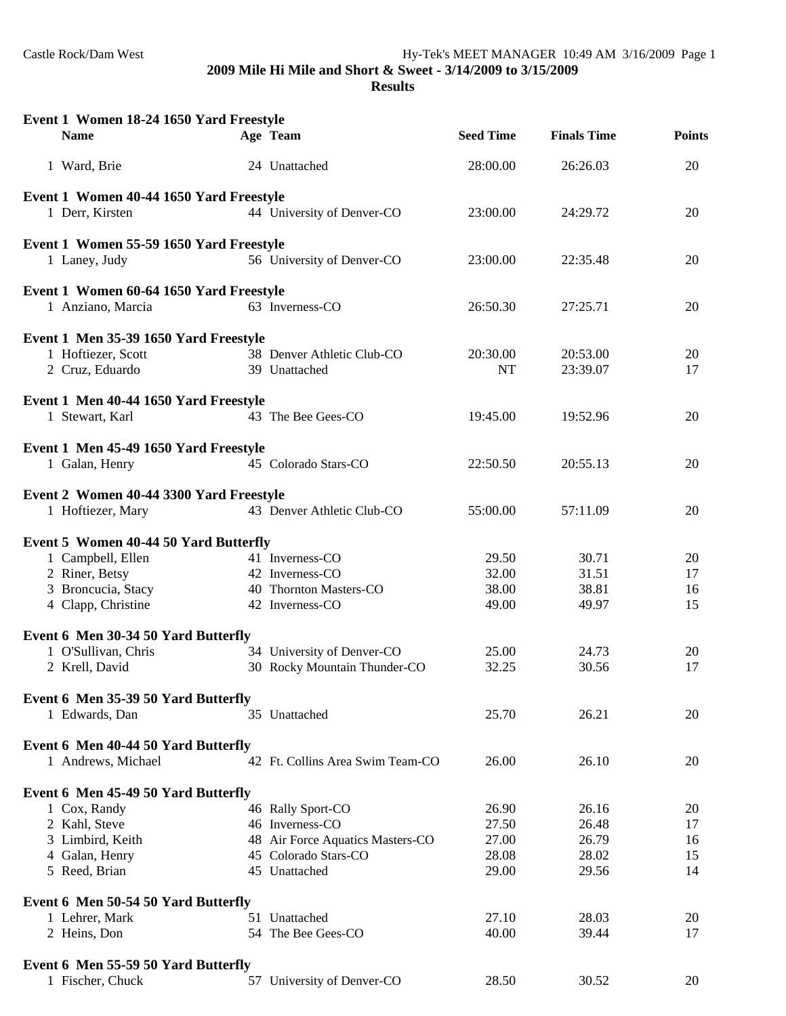**2009 Mile Hi Mile and Short & Sweet - 3/14/2009 to 3/15/2009**

#### **Results**

| Event 1 Women 18-24 1650 Yard Freestyle |                                  |                  |                    |               |
|-----------------------------------------|----------------------------------|------------------|--------------------|---------------|
| <b>Name</b>                             | Age Team                         | <b>Seed Time</b> | <b>Finals Time</b> | <b>Points</b> |
| 1 Ward, Brie                            | 24 Unattached                    | 28:00.00         | 26:26.03           | 20            |
| Event 1 Women 40-44 1650 Yard Freestyle |                                  |                  |                    |               |
| 1 Derr, Kirsten                         | 44 University of Denver-CO       | 23:00.00         | 24:29.72           | 20            |
| Event 1 Women 55-59 1650 Yard Freestyle |                                  |                  |                    |               |
| 1 Laney, Judy                           | 56 University of Denver-CO       | 23:00.00         | 22:35.48           | 20            |
| Event 1 Women 60-64 1650 Yard Freestyle |                                  |                  |                    |               |
| 1 Anziano, Marcia                       | 63 Inverness-CO                  | 26:50.30         | 27:25.71           | 20            |
| Event 1 Men 35-39 1650 Yard Freestyle   |                                  |                  |                    |               |
| 1 Hoftiezer, Scott                      | 38 Denver Athletic Club-CO       | 20:30.00         | 20:53.00           | 20            |
| 2 Cruz, Eduardo                         | 39 Unattached                    | NT               | 23:39.07           | 17            |
| Event 1 Men 40-44 1650 Yard Freestyle   |                                  |                  |                    |               |
| 1 Stewart, Karl                         | 43 The Bee Gees-CO               | 19:45.00         | 19:52.96           | 20            |
| Event 1 Men 45-49 1650 Yard Freestyle   |                                  |                  |                    |               |
| 1 Galan, Henry                          | 45 Colorado Stars-CO             | 22:50.50         | 20:55.13           | 20            |
| Event 2 Women 40-44 3300 Yard Freestyle |                                  |                  |                    |               |
| 1 Hoftiezer, Mary                       | 43 Denver Athletic Club-CO       | 55:00.00         | 57:11.09           | 20            |
| Event 5 Women 40-44 50 Yard Butterfly   |                                  |                  |                    |               |
| 1 Campbell, Ellen                       | 41 Inverness-CO                  | 29.50            | 30.71              | 20            |
| 2 Riner, Betsy                          | 42 Inverness-CO                  | 32.00            | 31.51              | 17            |
| 3 Broncucia, Stacy                      | 40 Thornton Masters-CO           | 38.00            | 38.81              | 16            |
| 4 Clapp, Christine                      | 42 Inverness-CO                  | 49.00            | 49.97              | 15            |
| Event 6 Men 30-34 50 Yard Butterfly     |                                  |                  |                    |               |
| 1 O'Sullivan, Chris                     | 34 University of Denver-CO       | 25.00            | 24.73              | 20            |
| 2 Krell, David                          | 30 Rocky Mountain Thunder-CO     | 32.25            | 30.56              | 17            |
| Event 6 Men 35-39 50 Yard Butterfly     |                                  |                  |                    |               |
| 1 Edwards, Dan                          | 35 Unattached                    | 25.70            | 26.21              | 20            |
| Event 6 Men 40-44 50 Yard Butterfly     |                                  |                  |                    |               |
| 1 Andrews, Michael                      | 42 Ft. Collins Area Swim Team-CO | 26.00            | 26.10              | 20            |
| Event 6 Men 45-49 50 Yard Butterfly     |                                  |                  |                    |               |
| 1 Cox, Randy                            | 46 Rally Sport-CO                | 26.90            | 26.16              | 20            |
| 2 Kahl, Steve                           | 46 Inverness-CO                  | 27.50            | 26.48              | 17            |
| 3 Limbird, Keith                        | 48 Air Force Aquatics Masters-CO | 27.00            | 26.79              | 16            |
| 4 Galan, Henry                          | 45 Colorado Stars-CO             | 28.08            | 28.02              | 15            |
| 5 Reed, Brian                           | 45 Unattached                    | 29.00            | 29.56              | 14            |
| Event 6 Men 50-54 50 Yard Butterfly     |                                  |                  |                    |               |
| 1 Lehrer, Mark                          | 51 Unattached                    | 27.10            | 28.03              | 20            |
| 2 Heins, Don                            | 54 The Bee Gees-CO               | 40.00            | 39.44              | 17            |
| Event 6 Men 55-59 50 Yard Butterfly     |                                  |                  |                    |               |
| 1 Fischer, Chuck                        | 57 University of Denver-CO       | 28.50            | 30.52              | 20            |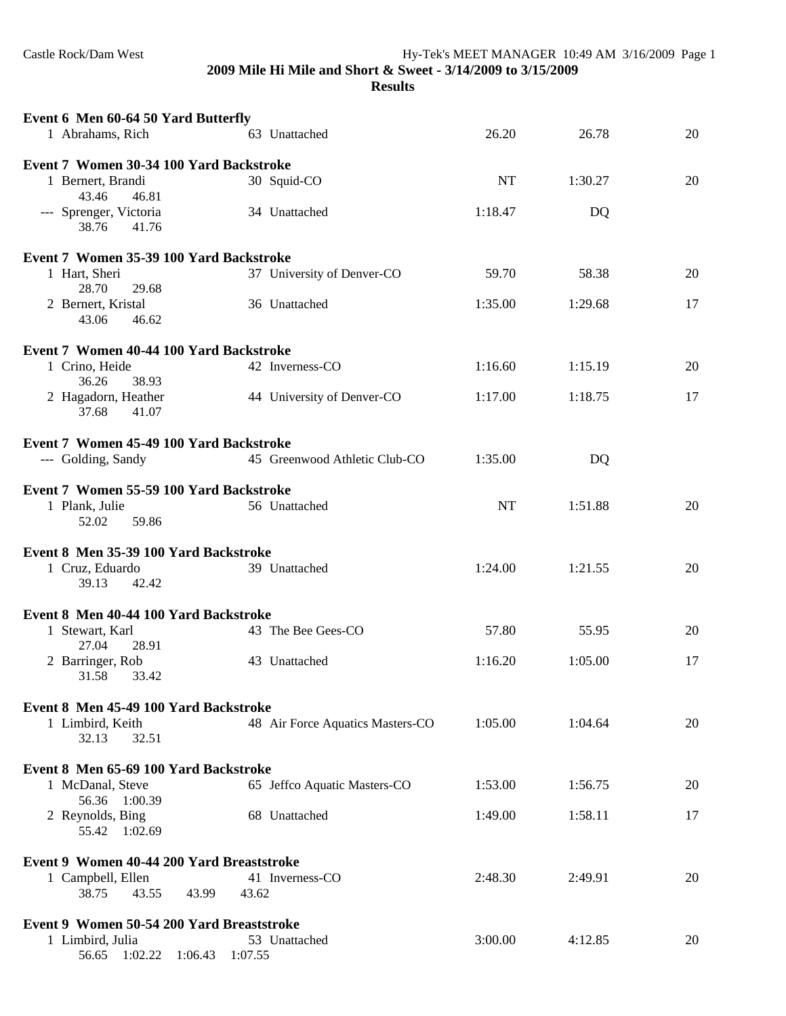Castle Rock/Dam West Hy-Tek's MEET MANAGER 10:49 AM 3/16/2009 Page 1

**2009 Mile Hi Mile and Short & Sweet - 3/14/2009 to 3/15/2009**

**Results**

| Event 6 Men 60-64 50 Yard Butterfly                                        |                                  |         |         |    |
|----------------------------------------------------------------------------|----------------------------------|---------|---------|----|
| 1 Abrahams, Rich                                                           | 63 Unattached                    | 26.20   | 26.78   | 20 |
| Event 7 Women 30-34 100 Yard Backstroke                                    |                                  |         |         |    |
| 1 Bernert, Brandi<br>43.46<br>46.81                                        | 30 Squid-CO                      | NT      | 1:30.27 | 20 |
| --- Sprenger, Victoria<br>38.76<br>41.76                                   | 34 Unattached                    | 1:18.47 | DQ      |    |
| Event 7 Women 35-39 100 Yard Backstroke                                    |                                  |         |         |    |
| 1 Hart, Sheri<br>28.70<br>29.68                                            | 37 University of Denver-CO       | 59.70   | 58.38   | 20 |
| 2 Bernert, Kristal<br>43.06<br>46.62                                       | 36 Unattached                    | 1:35.00 | 1:29.68 | 17 |
| Event 7 Women 40-44 100 Yard Backstroke                                    |                                  |         |         |    |
| 1 Crino, Heide<br>36.26<br>38.93                                           | 42 Inverness-CO                  | 1:16.60 | 1:15.19 | 20 |
| 2 Hagadorn, Heather<br>37.68<br>41.07                                      | 44 University of Denver-CO       | 1:17.00 | 1:18.75 | 17 |
| Event 7 Women 45-49 100 Yard Backstroke                                    |                                  |         |         |    |
| --- Golding, Sandy                                                         | 45 Greenwood Athletic Club-CO    | 1:35.00 | DQ      |    |
| Event 7 Women 55-59 100 Yard Backstroke                                    |                                  |         |         |    |
| 1 Plank, Julie<br>52.02<br>59.86                                           | 56 Unattached                    | NT      | 1:51.88 | 20 |
|                                                                            |                                  |         |         |    |
|                                                                            |                                  |         |         |    |
| Event 8 Men 35-39 100 Yard Backstroke<br>1 Cruz, Eduardo<br>39.13<br>42.42 | 39 Unattached                    | 1:24.00 | 1:21.55 | 20 |
|                                                                            |                                  |         |         |    |
| Event 8 Men 40-44 100 Yard Backstroke<br>1 Stewart, Karl                   | 43 The Bee Gees-CO               | 57.80   | 55.95   | 20 |
| 27.04<br>28.91<br>2 Barringer, Rob                                         | 43 Unattached                    | 1:16.20 | 1:05.00 | 17 |
| 31.58<br>33.42                                                             |                                  |         |         |    |
| Event 8 Men 45-49 100 Yard Backstroke                                      |                                  |         |         |    |
| 1 Limbird, Keith<br>32.13<br>32.51                                         | 48 Air Force Aquatics Masters-CO | 1:05.00 | 1:04.64 | 20 |
|                                                                            |                                  |         |         |    |
| Event 8 Men 65-69 100 Yard Backstroke<br>1 McDanal, Steve                  | 65 Jeffco Aquatic Masters-CO     | 1:53.00 | 1:56.75 | 20 |
| 56.36 1:00.39<br>2 Reynolds, Bing<br>55.42 1:02.69                         | 68 Unattached                    | 1:49.00 | 1:58.11 | 17 |
|                                                                            |                                  |         |         |    |
| Event 9 Women 40-44 200 Yard Breaststroke<br>1 Campbell, Ellen<br>43.55    | 41 Inverness-CO<br>43.62         | 2:48.30 | 2:49.91 | 20 |
| 38.75<br>43.99                                                             |                                  |         |         |    |
| Event 9 Women 50-54 200 Yard Breaststroke<br>1 Limbird, Julia              | 53 Unattached                    | 3:00.00 | 4:12.85 | 20 |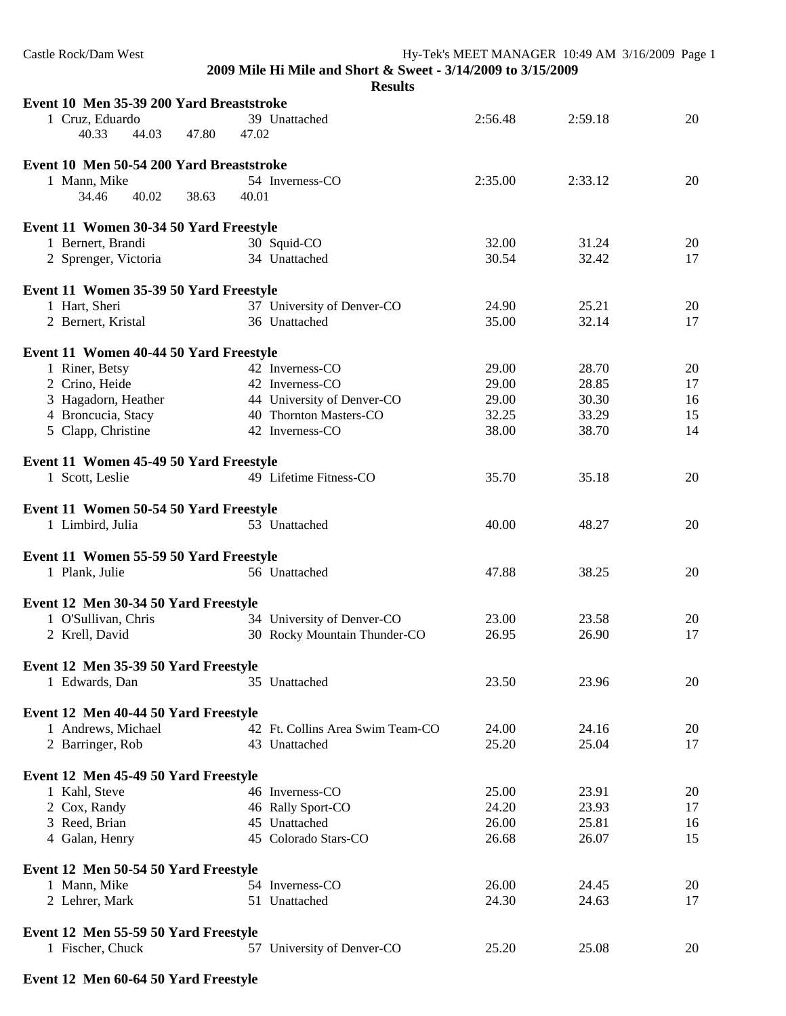| Castle Rock/Dam West                                       |                                                              |         | Hy-Tek's MEET MANAGER 10:49 AM 3/16/2009 Page 1 |    |
|------------------------------------------------------------|--------------------------------------------------------------|---------|-------------------------------------------------|----|
|                                                            | 2009 Mile Hi Mile and Short & Sweet - 3/14/2009 to 3/15/2009 |         |                                                 |    |
|                                                            | <b>Results</b>                                               |         |                                                 |    |
| Event 10 Men 35-39 200 Yard Breaststroke                   |                                                              |         |                                                 |    |
| 1 Cruz, Eduardo                                            | 39 Unattached                                                | 2:56.48 | 2:59.18                                         | 20 |
| 40.33<br>44.03<br>47.80                                    | 47.02                                                        |         |                                                 |    |
| Event 10 Men 50-54 200 Yard Breaststroke                   |                                                              |         |                                                 |    |
| 1 Mann, Mike                                               | 54 Inverness-CO                                              | 2:35.00 | 2:33.12                                         | 20 |
| 40.02<br>38.63<br>34.46                                    | 40.01                                                        |         |                                                 |    |
| Event 11 Women 30-34 50 Yard Freestyle                     |                                                              |         |                                                 |    |
| 1 Bernert, Brandi                                          | 30 Squid-CO                                                  | 32.00   | 31.24                                           | 20 |
| 2 Sprenger, Victoria                                       | 34 Unattached                                                | 30.54   | 32.42                                           | 17 |
| Event 11 Women 35-39 50 Yard Freestyle                     |                                                              |         |                                                 |    |
| 1 Hart, Sheri                                              | 37 University of Denver-CO                                   | 24.90   | 25.21                                           | 20 |
| 2 Bernert, Kristal                                         | 36 Unattached                                                | 35.00   | 32.14                                           | 17 |
| Event 11 Women 40-44 50 Yard Freestyle                     |                                                              |         |                                                 |    |
| 1 Riner, Betsy                                             | 42 Inverness-CO                                              | 29.00   | 28.70                                           | 20 |
| 2 Crino, Heide                                             | 42 Inverness-CO                                              | 29.00   | 28.85                                           | 17 |
| 3 Hagadorn, Heather                                        | 44 University of Denver-CO                                   | 29.00   | 30.30                                           | 16 |
| 4 Broncucia, Stacy                                         | 40 Thornton Masters-CO                                       | 32.25   | 33.29                                           | 15 |
| 5 Clapp, Christine                                         | 42 Inverness-CO                                              | 38.00   | 38.70                                           | 14 |
| Event 11 Women 45-49 50 Yard Freestyle                     |                                                              |         |                                                 |    |
| 1 Scott, Leslie                                            | 49 Lifetime Fitness-CO                                       | 35.70   | 35.18                                           | 20 |
|                                                            |                                                              |         |                                                 |    |
| Event 11 Women 50-54 50 Yard Freestyle<br>1 Limbird, Julia | 53 Unattached                                                | 40.00   | 48.27                                           | 20 |
|                                                            |                                                              |         |                                                 |    |
| Event 11 Women 55-59 50 Yard Freestyle                     |                                                              |         |                                                 |    |
| 1 Plank, Julie                                             | 56 Unattached                                                | 47.88   | 38.25                                           | 20 |
| Event 12 Men 30-34 50 Yard Freestyle                       |                                                              |         |                                                 |    |
| 1 O'Sullivan, Chris                                        | 34 University of Denver-CO                                   | 23.00   | 23.58                                           | 20 |
| 2 Krell, David                                             | 30 Rocky Mountain Thunder-CO                                 | 26.95   | 26.90                                           | 17 |
| Event 12 Men 35-39 50 Yard Freestyle                       |                                                              |         |                                                 |    |
| 1 Edwards, Dan                                             | 35 Unattached                                                | 23.50   | 23.96                                           | 20 |
|                                                            |                                                              |         |                                                 |    |
| Event 12 Men 40-44 50 Yard Freestyle                       |                                                              |         |                                                 |    |
| 1 Andrews, Michael                                         | 42 Ft. Collins Area Swim Team-CO                             | 24.00   | 24.16                                           | 20 |
| 2 Barringer, Rob                                           | 43 Unattached                                                | 25.20   | 25.04                                           | 17 |
| Event 12 Men 45-49 50 Yard Freestyle                       |                                                              |         |                                                 |    |
| 1 Kahl, Steve                                              | 46 Inverness-CO                                              | 25.00   | 23.91                                           | 20 |
| 2 Cox, Randy                                               | 46 Rally Sport-CO                                            | 24.20   | 23.93                                           | 17 |
| 3 Reed, Brian                                              | 45 Unattached                                                | 26.00   | 25.81                                           | 16 |
| 4 Galan, Henry                                             | 45 Colorado Stars-CO                                         | 26.68   | 26.07                                           | 15 |
| Event 12 Men 50-54 50 Yard Freestyle                       |                                                              |         |                                                 |    |
| 1 Mann, Mike                                               | 54 Inverness-CO                                              | 26.00   | 24.45                                           | 20 |
| 2 Lehrer, Mark                                             | 51 Unattached                                                | 24.30   | 24.63                                           | 17 |
| Event 12 Men 55-59 50 Yard Freestyle                       |                                                              |         |                                                 |    |
| 1 Fischer, Chuck                                           | 57 University of Denver-CO                                   | 25.20   | 25.08                                           | 20 |
|                                                            |                                                              |         |                                                 |    |

## **Event 12 Men 60-64 50 Yard Freestyle**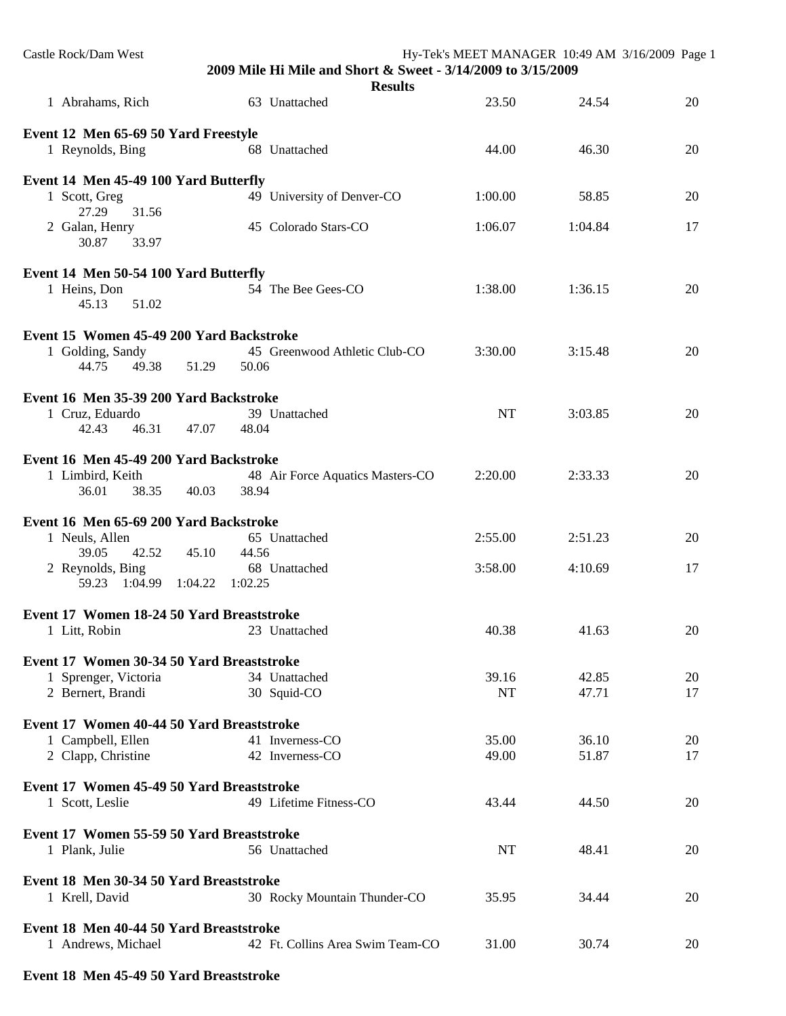| Castle Rock/Dam West                                              | 2009 Mile Hi Mile and Short & Sweet - 3/14/2009 to 3/15/2009 | Hy-Tek's MEET MANAGER 10:49 AM 3/16/2009 Page 1 |         |    |
|-------------------------------------------------------------------|--------------------------------------------------------------|-------------------------------------------------|---------|----|
|                                                                   | <b>Results</b><br>63 Unattached                              | 23.50                                           | 24.54   | 20 |
| 1 Abrahams, Rich                                                  |                                                              |                                                 |         |    |
| Event 12 Men 65-69 50 Yard Freestyle                              |                                                              |                                                 |         |    |
| 1 Reynolds, Bing                                                  | 68 Unattached                                                | 44.00                                           | 46.30   | 20 |
| Event 14 Men 45-49 100 Yard Butterfly                             |                                                              |                                                 |         |    |
| 1 Scott, Greg                                                     | 49 University of Denver-CO                                   | 1:00.00                                         | 58.85   | 20 |
| 27.29<br>31.56                                                    |                                                              |                                                 |         |    |
| 2 Galan, Henry<br>30.87<br>33.97                                  | 45 Colorado Stars-CO                                         | 1:06.07                                         | 1:04.84 | 17 |
|                                                                   |                                                              |                                                 |         |    |
| Event 14 Men 50-54 100 Yard Butterfly                             |                                                              |                                                 |         |    |
| 1 Heins, Don<br>45.13<br>51.02                                    | 54 The Bee Gees-CO                                           | 1:38.00                                         | 1:36.15 | 20 |
|                                                                   |                                                              |                                                 |         |    |
| Event 15 Women 45-49 200 Yard Backstroke                          | 45 Greenwood Athletic Club-CO                                | 3:30.00                                         | 3:15.48 | 20 |
| 1 Golding, Sandy<br>44.75<br>49.38                                | 51.29<br>50.06                                               |                                                 |         |    |
|                                                                   |                                                              |                                                 |         |    |
| Event 16 Men 35-39 200 Yard Backstroke                            |                                                              |                                                 |         |    |
| 1 Cruz, Eduardo<br>42.43<br>46.31                                 | 39 Unattached<br>47.07<br>48.04                              | NT                                              | 3:03.85 | 20 |
|                                                                   |                                                              |                                                 |         |    |
| Event 16 Men 45-49 200 Yard Backstroke                            |                                                              |                                                 |         |    |
| 1 Limbird, Keith<br>36.01<br>38.35                                | 48 Air Force Aquatics Masters-CO<br>40.03<br>38.94           | 2:20.00                                         | 2:33.33 | 20 |
|                                                                   |                                                              |                                                 |         |    |
| Event 16 Men 65-69 200 Yard Backstroke                            |                                                              |                                                 |         |    |
| 1 Neuls, Allen<br>39.05<br>42.52                                  | 65 Unattached<br>45.10<br>44.56                              | 2:55.00                                         | 2:51.23 | 20 |
| 2 Reynolds, Bing                                                  | 68 Unattached                                                | 3:58.00                                         | 4:10.69 | 17 |
| 59.23 1:04.99                                                     | 1:04.22<br>1:02.25                                           |                                                 |         |    |
| Event 17 Women 18-24 50 Yard Breaststroke                         |                                                              |                                                 |         |    |
| 1 Litt, Robin                                                     | 23 Unattached                                                | 40.38                                           | 41.63   | 20 |
|                                                                   |                                                              |                                                 |         |    |
| Event 17 Women 30-34 50 Yard Breaststroke<br>1 Sprenger, Victoria | 34 Unattached                                                | 39.16                                           | 42.85   | 20 |
| 2 Bernert, Brandi                                                 | 30 Squid-CO                                                  | <b>NT</b>                                       | 47.71   | 17 |
|                                                                   |                                                              |                                                 |         |    |
| Event 17 Women 40-44 50 Yard Breaststroke<br>1 Campbell, Ellen    | 41 Inverness-CO                                              | 35.00                                           | 36.10   | 20 |
| 2 Clapp, Christine                                                | 42 Inverness-CO                                              | 49.00                                           | 51.87   | 17 |
|                                                                   |                                                              |                                                 |         |    |
| Event 17 Women 45-49 50 Yard Breaststroke                         |                                                              |                                                 |         |    |
| 1 Scott, Leslie                                                   | 49 Lifetime Fitness-CO                                       | 43.44                                           | 44.50   | 20 |
| Event 17 Women 55-59 50 Yard Breaststroke                         |                                                              |                                                 |         |    |
| 1 Plank, Julie                                                    | 56 Unattached                                                | NT                                              | 48.41   | 20 |
| Event 18 Men 30-34 50 Yard Breaststroke                           |                                                              |                                                 |         |    |
| 1 Krell, David                                                    | 30 Rocky Mountain Thunder-CO                                 | 35.95                                           | 34.44   | 20 |
|                                                                   |                                                              |                                                 |         |    |
| Event 18 Men 40-44 50 Yard Breaststroke<br>1 Andrews, Michael     | 42 Ft. Collins Area Swim Team-CO                             | 31.00                                           | 30.74   | 20 |
|                                                                   |                                                              |                                                 |         |    |

# **Event 18 Men 45-49 50 Yard Breaststroke**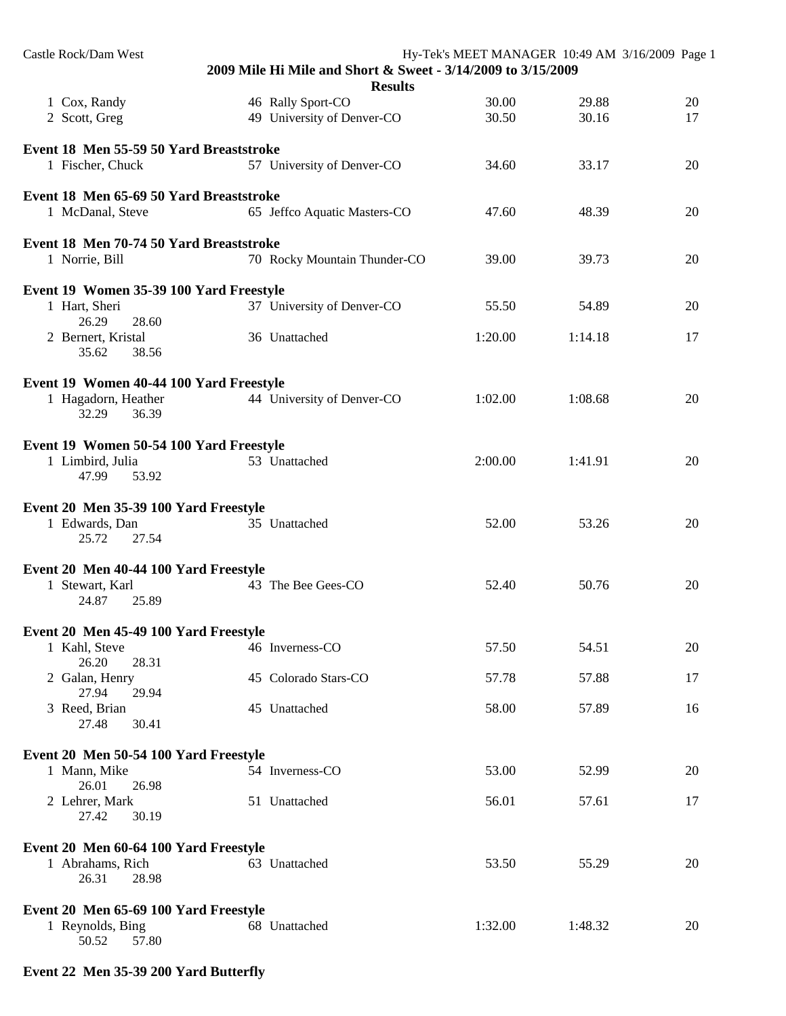| Castle Rock/Dam West                                      | 2009 Mile Hi Mile and Short & Sweet - 3/14/2009 to 3/15/2009 | Hy-Tek's MEET MANAGER 10:49 AM 3/16/2009 Page 1 |         |    |
|-----------------------------------------------------------|--------------------------------------------------------------|-------------------------------------------------|---------|----|
|                                                           | <b>Results</b>                                               |                                                 |         |    |
| 1 Cox, Randy                                              | 46 Rally Sport-CO                                            | 30.00                                           | 29.88   | 20 |
| 2 Scott, Greg                                             | 49 University of Denver-CO                                   | 30.50                                           | 30.16   | 17 |
| Event 18 Men 55-59 50 Yard Breaststroke                   |                                                              |                                                 |         |    |
| 1 Fischer, Chuck                                          | 57 University of Denver-CO                                   | 34.60                                           | 33.17   | 20 |
| Event 18 Men 65-69 50 Yard Breaststroke                   |                                                              |                                                 |         |    |
| 1 McDanal, Steve                                          | 65 Jeffco Aquatic Masters-CO                                 | 47.60                                           | 48.39   | 20 |
| Event 18 Men 70-74 50 Yard Breaststroke                   |                                                              |                                                 |         |    |
| 1 Norrie, Bill                                            | 70 Rocky Mountain Thunder-CO                                 | 39.00                                           | 39.73   | 20 |
| Event 19 Women 35-39 100 Yard Freestyle                   |                                                              |                                                 |         |    |
| 1 Hart, Sheri<br>26.29<br>28.60                           | 37 University of Denver-CO                                   | 55.50                                           | 54.89   | 20 |
| 2 Bernert, Kristal<br>35.62<br>38.56                      | 36 Unattached                                                | 1:20.00                                         | 1:14.18 | 17 |
| Event 19 Women 40-44 100 Yard Freestyle                   |                                                              |                                                 |         |    |
| 1 Hagadorn, Heather                                       | 44 University of Denver-CO                                   | 1:02.00                                         | 1:08.68 | 20 |
| 32.29<br>36.39                                            |                                                              |                                                 |         |    |
| Event 19 Women 50-54 100 Yard Freestyle                   |                                                              |                                                 |         |    |
| 1 Limbird, Julia<br>47.99<br>53.92                        | 53 Unattached                                                | 2:00.00                                         | 1:41.91 | 20 |
| Event 20 Men 35-39 100 Yard Freestyle                     |                                                              |                                                 |         |    |
| 1 Edwards, Dan<br>25.72<br>27.54                          | 35 Unattached                                                | 52.00                                           | 53.26   | 20 |
| Event 20 Men 40-44 100 Yard Freestyle                     |                                                              |                                                 |         |    |
| 1 Stewart, Karl<br>24.87<br>25.89                         | 43 The Bee Gees-CO                                           | 52.40                                           | 50.76   | 20 |
|                                                           |                                                              |                                                 |         |    |
| Event 20 Men 45-49 100 Yard Freestyle                     |                                                              |                                                 |         |    |
| 1 Kahl, Steve<br>26.20<br>28.31                           | 46 Inverness-CO                                              | 57.50                                           | 54.51   | 20 |
| 2 Galan, Henry<br>27.94<br>29.94                          | 45 Colorado Stars-CO                                         | 57.78                                           | 57.88   | 17 |
| 3 Reed, Brian                                             | 45 Unattached                                                | 58.00                                           | 57.89   | 16 |
| 27.48<br>30.41                                            |                                                              |                                                 |         |    |
| Event 20 Men 50-54 100 Yard Freestyle                     |                                                              |                                                 |         |    |
| 1 Mann, Mike<br>26.01<br>26.98                            | 54 Inverness-CO                                              | 53.00                                           | 52.99   | 20 |
| 2 Lehrer, Mark<br>27.42<br>30.19                          | 51 Unattached                                                | 56.01                                           | 57.61   | 17 |
|                                                           |                                                              |                                                 |         |    |
| Event 20 Men 60-64 100 Yard Freestyle<br>1 Abrahams, Rich | 63 Unattached                                                | 53.50                                           | 55.29   | 20 |
| 26.31<br>28.98                                            |                                                              |                                                 |         |    |
| Event 20 Men 65-69 100 Yard Freestyle                     |                                                              |                                                 |         |    |
| 1 Reynolds, Bing<br>50.52<br>57.80                        | 68 Unattached                                                | 1:32.00                                         | 1:48.32 | 20 |
|                                                           |                                                              |                                                 |         |    |

## **Event 22 Men 35-39 200 Yard Butterfly**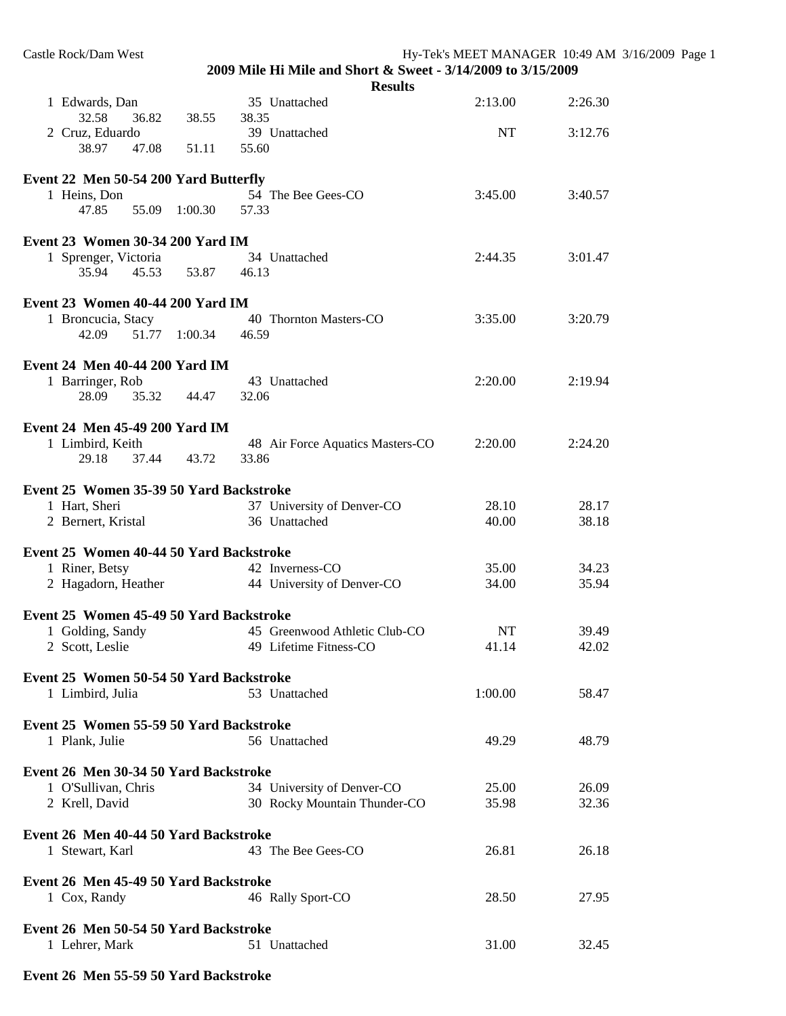| Castle Rock/Dam West                                  |               | 2009 Mile Hi Mile and Short & Sweet - 3/14/2009 to 3/15/2009 |         | Hy-Tek's MEET MANAGER 10:49 AM 3/16/2009 Page 1 |  |
|-------------------------------------------------------|---------------|--------------------------------------------------------------|---------|-------------------------------------------------|--|
|                                                       |               | <b>Results</b>                                               |         |                                                 |  |
| 1 Edwards, Dan<br>32.58<br>36.82                      | 38.55         | 35 Unattached<br>38.35                                       | 2:13.00 | 2:26.30                                         |  |
| 2 Cruz, Eduardo<br>38.97<br>47.08                     | 51.11         | 39 Unattached<br>55.60                                       | NT      | 3:12.76                                         |  |
|                                                       |               |                                                              |         |                                                 |  |
| Event 22 Men 50-54 200 Yard Butterfly<br>1 Heins, Don |               | 54 The Bee Gees-CO                                           | 3:45.00 | 3:40.57                                         |  |
| 47.85                                                 | 55.09 1:00.30 | 57.33                                                        |         |                                                 |  |
| Event 23 Women 30-34 200 Yard IM                      |               |                                                              |         |                                                 |  |
| 1 Sprenger, Victoria                                  |               | 34 Unattached                                                | 2:44.35 | 3:01.47                                         |  |
| 35.94<br>45.53                                        | 53.87         | 46.13                                                        |         |                                                 |  |
| Event 23 Women 40-44 200 Yard IM                      |               |                                                              |         |                                                 |  |
| 1 Broncucia, Stacy                                    |               | 40 Thornton Masters-CO                                       | 3:35.00 | 3:20.79                                         |  |
| 42.09                                                 | 51.77 1:00.34 | 46.59                                                        |         |                                                 |  |
| <b>Event 24 Men 40-44 200 Yard IM</b>                 |               |                                                              |         |                                                 |  |
| 1 Barringer, Rob                                      |               | 43 Unattached                                                | 2:20.00 | 2:19.94                                         |  |
| 28.09<br>35.32                                        | 44.47         | 32.06                                                        |         |                                                 |  |
| Event 24 Men 45-49 200 Yard IM                        |               |                                                              |         |                                                 |  |
| 1 Limbird, Keith                                      |               | 48 Air Force Aquatics Masters-CO                             | 2:20.00 | 2:24.20                                         |  |
| 29.18<br>37.44                                        | 43.72         | 33.86                                                        |         |                                                 |  |
| Event 25 Women 35-39 50 Yard Backstroke               |               |                                                              |         |                                                 |  |
| 1 Hart, Sheri                                         |               | 37 University of Denver-CO                                   | 28.10   | 28.17                                           |  |
| 2 Bernert, Kristal                                    |               | 36 Unattached                                                | 40.00   | 38.18                                           |  |
| Event 25 Women 40-44 50 Yard Backstroke               |               |                                                              |         |                                                 |  |
| 1 Riner, Betsy                                        |               | 42 Inverness-CO                                              | 35.00   | 34.23                                           |  |
| 2 Hagadorn, Heather                                   |               | 44 University of Denver-CO                                   | 34.00   | 35.94                                           |  |
| Event 25 Women 45-49 50 Yard Backstroke               |               |                                                              |         |                                                 |  |
| 1 Golding, Sandy                                      |               | 45 Greenwood Athletic Club-CO                                | NT      | 39.49                                           |  |
| 2 Scott, Leslie                                       |               | 49 Lifetime Fitness-CO                                       | 41.14   | 42.02                                           |  |
| Event 25 Women 50-54 50 Yard Backstroke               |               |                                                              |         |                                                 |  |
| 1 Limbird, Julia                                      |               | 53 Unattached                                                | 1:00.00 | 58.47                                           |  |
|                                                       |               |                                                              |         |                                                 |  |
| Event 25 Women 55-59 50 Yard Backstroke               |               |                                                              |         |                                                 |  |
| 1 Plank, Julie                                        |               | 56 Unattached                                                | 49.29   | 48.79                                           |  |
| Event 26 Men 30-34 50 Yard Backstroke                 |               |                                                              |         |                                                 |  |
| 1 O'Sullivan, Chris                                   |               | 34 University of Denver-CO                                   | 25.00   | 26.09                                           |  |
| 2 Krell, David                                        |               | 30 Rocky Mountain Thunder-CO                                 | 35.98   | 32.36                                           |  |
| Event 26 Men 40-44 50 Yard Backstroke                 |               |                                                              |         |                                                 |  |
| 1 Stewart, Karl                                       |               | 43 The Bee Gees-CO                                           | 26.81   | 26.18                                           |  |
|                                                       |               |                                                              |         |                                                 |  |
| Event 26 Men 45-49 50 Yard Backstroke                 |               |                                                              |         |                                                 |  |
| 1 Cox, Randy                                          |               | 46 Rally Sport-CO                                            | 28.50   | 27.95                                           |  |
| Event 26 Men 50-54 50 Yard Backstroke                 |               |                                                              |         |                                                 |  |
| 1 Lehrer, Mark                                        |               | 51 Unattached                                                | 31.00   | 32.45                                           |  |
|                                                       |               |                                                              |         |                                                 |  |

## **Event 26 Men 55-59 50 Yard Backstroke**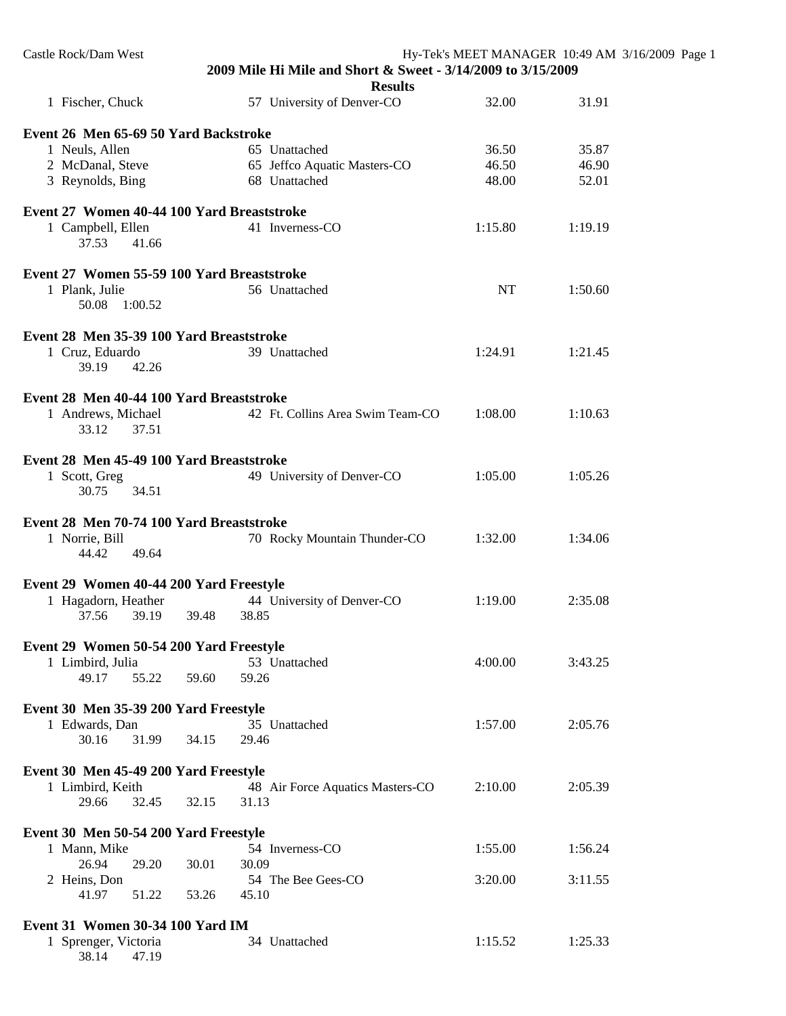| Castle Rock/Dam West                       |                                                                                |         | Hy-Tek's MEET MANAGER 10:49 AM 3/16/2009 Page 1 |
|--------------------------------------------|--------------------------------------------------------------------------------|---------|-------------------------------------------------|
|                                            | 2009 Mile Hi Mile and Short & Sweet - 3/14/2009 to 3/15/2009<br><b>Results</b> |         |                                                 |
| 1 Fischer, Chuck                           | 57 University of Denver-CO                                                     | 32.00   | 31.91                                           |
| Event 26 Men 65-69 50 Yard Backstroke      |                                                                                |         |                                                 |
| 1 Neuls, Allen                             | 65 Unattached                                                                  | 36.50   | 35.87                                           |
| 2 McDanal, Steve                           | 65 Jeffco Aquatic Masters-CO                                                   | 46.50   | 46.90                                           |
| 3 Reynolds, Bing                           | 68 Unattached                                                                  | 48.00   | 52.01                                           |
| Event 27 Women 40-44 100 Yard Breaststroke |                                                                                |         |                                                 |
| 1 Campbell, Ellen<br>37.53<br>41.66        | 41 Inverness-CO                                                                | 1:15.80 | 1:19.19                                         |
| Event 27 Women 55-59 100 Yard Breaststroke |                                                                                |         |                                                 |
| 1 Plank, Julie<br>50.08 1:00.52            | 56 Unattached                                                                  | NT      | 1:50.60                                         |
| Event 28 Men 35-39 100 Yard Breaststroke   |                                                                                |         |                                                 |
| 1 Cruz, Eduardo                            | 39 Unattached                                                                  | 1:24.91 | 1:21.45                                         |
| 39.19<br>42.26                             |                                                                                |         |                                                 |
| Event 28 Men 40-44 100 Yard Breaststroke   |                                                                                |         |                                                 |
| 1 Andrews, Michael                         | 42 Ft. Collins Area Swim Team-CO                                               | 1:08.00 | 1:10.63                                         |
| 33.12<br>37.51                             |                                                                                |         |                                                 |
| Event 28 Men 45-49 100 Yard Breaststroke   |                                                                                |         |                                                 |
| 1 Scott, Greg                              | 49 University of Denver-CO                                                     | 1:05.00 | 1:05.26                                         |
| 30.75<br>34.51                             |                                                                                |         |                                                 |
| Event 28 Men 70-74 100 Yard Breaststroke   |                                                                                |         |                                                 |
| 1 Norrie, Bill                             | 70 Rocky Mountain Thunder-CO                                                   | 1:32.00 | 1:34.06                                         |
| 49.64<br>44.42                             |                                                                                |         |                                                 |
| Event 29 Women 40-44 200 Yard Freestyle    |                                                                                |         |                                                 |
| 1 Hagadorn, Heather                        | 44 University of Denver-CO                                                     | 1:19.00 | 2:35.08                                         |
| 37.56 39.19                                | 38.85<br>39.48                                                                 |         |                                                 |
| Event 29 Women 50-54 200 Yard Freestyle    |                                                                                |         |                                                 |
| 1 Limbird, Julia                           | 53 Unattached                                                                  | 4:00.00 | 3:43.25                                         |
| 49.17<br>55.22                             | 59.60<br>59.26                                                                 |         |                                                 |
| Event 30 Men 35-39 200 Yard Freestyle      |                                                                                |         |                                                 |
| 1 Edwards, Dan                             | 35 Unattached                                                                  | 1:57.00 | 2:05.76                                         |
| 30.16<br>31.99                             | 34.15<br>29.46                                                                 |         |                                                 |
| Event 30 Men 45-49 200 Yard Freestyle      |                                                                                |         |                                                 |
| 1 Limbird, Keith                           | 48 Air Force Aquatics Masters-CO                                               | 2:10.00 | 2:05.39                                         |
| 29.66<br>32.45                             | 32.15<br>31.13                                                                 |         |                                                 |
| Event 30 Men 50-54 200 Yard Freestyle      |                                                                                |         |                                                 |
| 1 Mann, Mike                               | 54 Inverness-CO                                                                | 1:55.00 | 1:56.24                                         |
| 26.94<br>29.20                             | 30.09<br>30.01                                                                 |         |                                                 |
| 2 Heins, Don                               | 54 The Bee Gees-CO                                                             | 3:20.00 | 3:11.55                                         |
| 41.97<br>51.22                             | 53.26<br>45.10                                                                 |         |                                                 |
| <b>Event 31 Women 30-34 100 Yard IM</b>    |                                                                                |         |                                                 |
| 1 Sprenger, Victoria                       | 34 Unattached                                                                  | 1:15.52 | 1:25.33                                         |
| 38.14<br>47.19                             |                                                                                |         |                                                 |